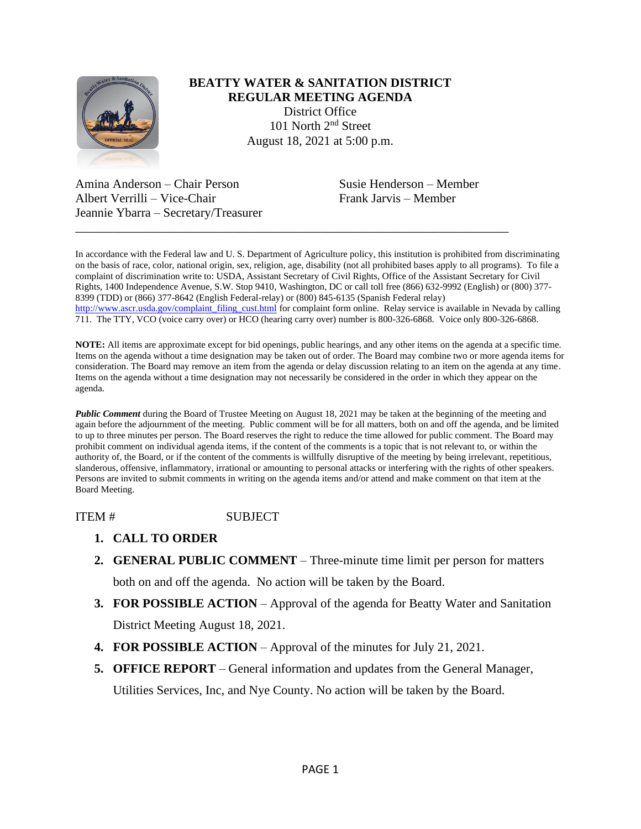

## **BEATTY WATER & SANITATION DISTRICT REGULAR MEETING AGENDA** District Office 101 North 2nd Street August 18, 2021 at 5:00 p.m.

Amina Anderson – Chair Person Susie Henderson – Member Albert Verrilli – Vice-Chair Frank Jarvis – Member Jeannie Ybarra – Secretary/Treasurer

In accordance with the Federal law and U. S. Department of Agriculture policy, this institution is prohibited from discriminating on the basis of race, color, national origin, sex, religion, age, disability (not all prohibited bases apply to all programs). To file a complaint of discrimination write to: USDA, Assistant Secretary of Civil Rights, Office of the Assistant Secretary for Civil Rights, 1400 Independence Avenue, S.W. Stop 9410, Washington, DC or call toll free (866) 632-9992 (English) or (800) 377- 8399 (TDD) or (866) 377-8642 (English Federal-relay) or (800) 845-6135 (Spanish Federal relay) [http://www.ascr.usda.gov/complaint\\_filing\\_cust.html](http://www.ascr.usda.gov/complaint_filing_cust.html) for complaint form online. Relay service is available in Nevada by calling 711. The TTY, VCO (voice carry over) or HCO (hearing carry over) number is 800-326-6868. Voice only 800-326-6868.

\_\_\_\_\_\_\_\_\_\_\_\_\_\_\_\_\_\_\_\_\_\_\_\_\_\_\_\_\_\_\_\_\_\_\_\_\_\_\_\_\_\_\_\_\_\_\_\_\_\_\_\_\_\_\_\_\_\_\_\_\_\_\_\_\_\_\_\_\_

**NOTE:** All items are approximate except for bid openings, public hearings, and any other items on the agenda at a specific time. Items on the agenda without a time designation may be taken out of order. The Board may combine two or more agenda items for consideration. The Board may remove an item from the agenda or delay discussion relating to an item on the agenda at any time. Items on the agenda without a time designation may not necessarily be considered in the order in which they appear on the agenda.

*Public Comment* during the Board of Trustee Meeting on August 18, 2021 may be taken at the beginning of the meeting and again before the adjournment of the meeting. Public comment will be for all matters, both on and off the agenda, and be limited to up to three minutes per person. The Board reserves the right to reduce the time allowed for public comment. The Board may prohibit comment on individual agenda items, if the content of the comments is a topic that is not relevant to, or within the authority of, the Board, or if the content of the comments is willfully disruptive of the meeting by being irrelevant, repetitious, slanderous, offensive, inflammatory, irrational or amounting to personal attacks or interfering with the rights of other speakers. Persons are invited to submit comments in writing on the agenda items and/or attend and make comment on that item at the Board Meeting.

ITEM # SUBJECT

- **1. CALL TO ORDER**
- **2. GENERAL PUBLIC COMMENT** Three-minute time limit per person for matters both on and off the agenda. No action will be taken by the Board.
- **3. FOR POSSIBLE ACTION** Approval of the agenda for Beatty Water and Sanitation District Meeting August 18, 2021.
- **4. FOR POSSIBLE ACTION**  Approval of the minutes for July 21, 2021.
- **5. OFFICE REPORT**  General information and updates from the General Manager,

Utilities Services, Inc, and Nye County. No action will be taken by the Board.